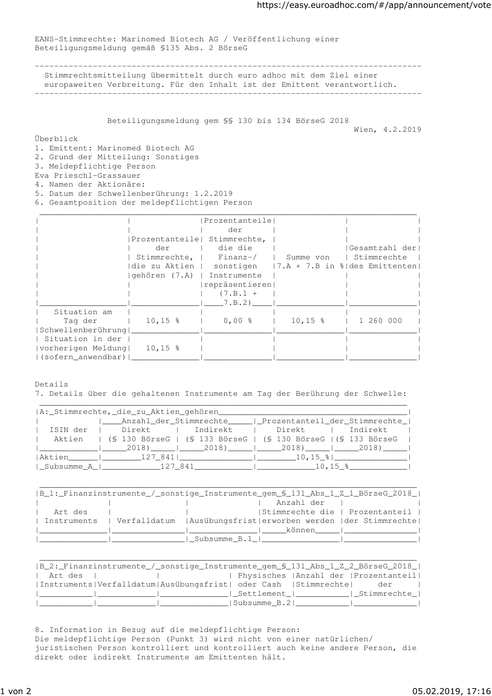EANS-Stimmrechte: Marinomed Biotech AG / Veröffentlichung einer Beteiligungsmeldung gemäß §135 Abs. 2 BörseG

-------------------------------------------------------------------------------- Stimmrechtsmitteilung übermittelt durch euro adhoc mit dem Ziel einer europaweiten Verbreitung. Für den Inhalt ist der Emittent verantwortlich. --------------------------------------------------------------------------------

Beteiligungsmeldung gem §§ 130 bis 134 BörseG 2018

Wien, 4.2.2019

Überblick

1. Emittent: Marinomed Biotech AG

2. Grund der Mitteilung: Sonstiges

3. Meldepflichtige Person

Eva Prieschl-Grassauer

4. Namen der Aktionäre:

5. Datum der Schwellenberührung: 1.2.2019

6. Gesamtposition der meldepflichtigen Person

|                    |                             | Prozentanteile |                                                                  |                |
|--------------------|-----------------------------|----------------|------------------------------------------------------------------|----------------|
|                    |                             | der            |                                                                  |                |
|                    | Prozentanteile Stimmrechte, |                |                                                                  |                |
|                    | der                         | die die        |                                                                  | Gesamtzahl der |
|                    | Stimmrechte,   Finanz-/     |                | l Summe von                                                      | l Stimmrechte  |
|                    |                             |                | die zu Aktien   sonstigen $(7.A + 7.B in \delta des Emittenten)$ |                |
|                    | gehören (7.A)   Instrumente |                |                                                                  |                |
|                    |                             | repräsentieren |                                                                  |                |
|                    |                             | $(7.B.1 +$     |                                                                  |                |
|                    |                             | 7.B.2)         |                                                                  |                |
| Situation am       |                             |                |                                                                  |                |
| Tag der            | $10, 15$ %                  | $0,00$ %       | $10, 15$ %                                                       | 1 260 000      |
| Schwellenberührung |                             |                |                                                                  |                |
| Situation in der   |                             |                |                                                                  |                |
| vorherigen Meldung | $10, 15$ %                  |                |                                                                  |                |
| (sofern anwendbar) |                             |                |                                                                  |                |

Details 7. Details über die gehaltenen Instrumente am Tag der Berührung der Schwelle:

| A: Stimmrechte, die zu Aktien gehören                                          |  |
|--------------------------------------------------------------------------------|--|
| Anzahl der Stimmrechte   Prozentanteil der Stimmrechte                         |  |
| ISIN der   Direkt   Indirekt   Direkt   Indirekt                               |  |
| Aktien   (§ 130 BörseG   (§ 133 BörseG   (§ 130 BörseG   (§ 133 BörseG         |  |
| 2018)   2018)   2018   2018   2018                                             |  |
| Aktien   127 841   10,15 %                                                     |  |
| Subsumme_A_  ______________127_841______________  _____________10,15_% _______ |  |

|         | B_1:_Finanzinstrumente_/_sonstige_Instrumente_gem_\$_131_Abs_1_Z_1_BörseG_2018_ |
|---------|---------------------------------------------------------------------------------|
|         | Anzahl der                                                                      |
| Art des | Stimmrechte die   Prozentanteil                                                 |
|         | Instruments   Verfalldatum   Ausübungsfrist erworben werden   der Stimmrechte   |
|         | können l                                                                        |
|         | Subsumme B.1                                                                    |

| B_2:_Finanzinstrumente_/_sonstige_Instrumente_gem_\$_131_Abs_1_Z_2_BörseG_2018_ |                                         |  |     |  |
|---------------------------------------------------------------------------------|-----------------------------------------|--|-----|--|
| Art des                                                                         | Physisches   Anzahl der   Prozentanteil |  |     |  |
| Instruments Verfalldatum Ausübungsfrist  oder Cash  Stimmrechte                 |                                         |  | der |  |
|                                                                                 | Settlement   Stimmrechte                |  |     |  |
|                                                                                 | Subsumme B.2                            |  |     |  |

8. Information in Bezug auf die meldepflichtige Person: Die meldepflichtige Person (Punkt 3) wird nicht von einer natürlichen/ juristischen Person kontrolliert und kontrolliert auch keine andere Person, die direkt oder indirekt Instrumente am Emittenten hält.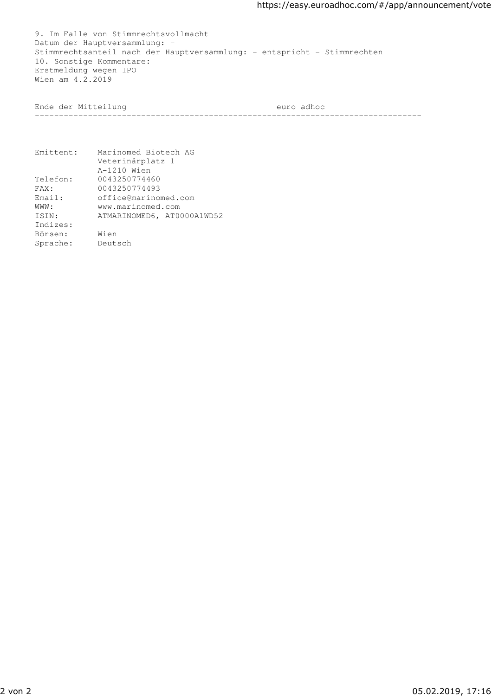9. Im Falle von Stimmrechtsvollmacht Datum der Hauptversammlung: - Stimmrechtsanteil nach der Hauptversammlung: - entspricht - Stimmrechten 10. Sonstige Kommentare: Erstmeldung wegen IPO Wien am 4.2.2019

Ende der Mitteilung euro adhoc

--------------------------------------------------------------------------------

| Emittent: | Marinomed Biotech AG       |
|-----------|----------------------------|
|           | Veterinärplatz 1           |
|           | A-1210 Wien                |
| Telefon:  | 0043250774460              |
| FAX:      | 0043250774493              |
| Email:    | office@marinomed.com       |
| WWW:      | www.marinomed.com          |
| ISIN:     | ATMARINOMED6, AT0000A1WD52 |
| Indizes:  |                            |
| Börsen:   | Wien                       |
| Sprache:  | Deutsch                    |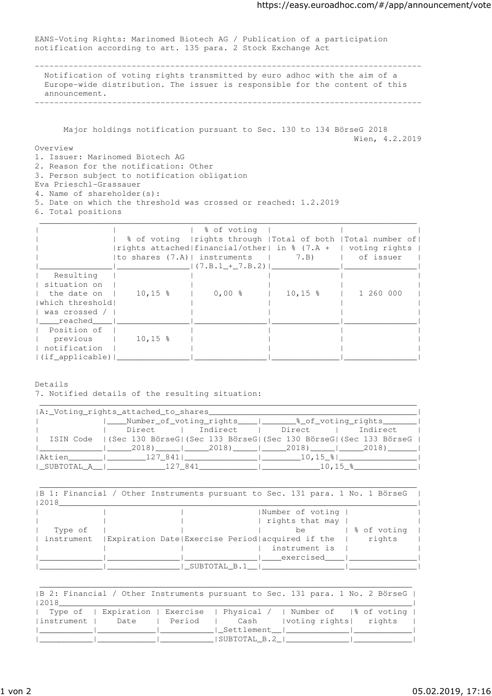EANS-Voting Rights: Marinomed Biotech AG / Publication of a participation notification according to art. 135 para. 2 Stock Exchange Act

-------------------------------------------------------------------------------- Notification of voting rights transmitted by euro adhoc with the aim of a Europe-wide distribution. The issuer is responsible for the content of this announcement.

--------------------------------------------------------------------------------

 Major holdings notification pursuant to Sec. 130 to 134 BörseG 2018 Wien, 4.2.2019

Overview

- 1. Issuer: Marinomed Biotech AG
- 2. Reason for the notification: Other
- 3. Person subject to notification obligation
- Eva Prieschl-Grassauer
- 4. Name of shareholder(s):
- 5. Date on which the threshold was crossed or reached: 1.2.2019
- 6. Total positions

|                  |            | % of voting                               |            |                                                                  |
|------------------|------------|-------------------------------------------|------------|------------------------------------------------------------------|
|                  |            |                                           |            | % of voting   rights through   Total of both   Total number of   |
|                  |            |                                           |            | rights attached   financial/other  in $%$ (7.A +   voting rights |
|                  |            | to shares $(7,A)$   instruments   $7,B$ ) |            | of issuer                                                        |
|                  |            | $(7.B.1 + 7.B.2)$                         |            |                                                                  |
| Resulting        |            |                                           |            |                                                                  |
| situation on     |            |                                           |            |                                                                  |
| the date on I    | $10, 15$ % | $0,00$ %                                  | $10, 15$ % | 1 260 000                                                        |
| Iwhich threshold |            |                                           |            |                                                                  |
| was crossed /    |            |                                           |            |                                                                  |
| reached          |            |                                           |            |                                                                  |
| Position of      |            |                                           |            |                                                                  |
| previous         | $10, 15$ % |                                           |            |                                                                  |
| notification     |            |                                           |            |                                                                  |
| (if applicable)  |            |                                           |            |                                                                  |

Details

7. Notified details of the resulting situation:

| A: Voting rights attached to shares          |                                                                                |
|----------------------------------------------|--------------------------------------------------------------------------------|
|                                              | Number of voting rights   8 of voting rights                                   |
|                                              | Direct   Indirect   Direct   Indirect                                          |
|                                              | ISIN Code   (Sec 130 BörseG  (Sec 133 BörseG  (Sec 130 BörseG  (Sec 133 BörseG |
| $(2018)$ $(2018)$ $(2018)$ $(2018)$ $(2018)$ |                                                                                |
|                                              |                                                                                |
|                                              |                                                                                |

|            |              | B 1: Financial / Other Instruments pursuant to Sec. 131 para. 1 No. 1 BörseG |
|------------|--------------|------------------------------------------------------------------------------|
| 2018       |              |                                                                              |
|            |              | Number of voting                                                             |
|            |              | rights that may                                                              |
| Type of    |              | % of voting<br>be.                                                           |
| instrument |              | rights<br>  Expiration Date  Exercise Period  acquired if the                |
|            |              | instrument is                                                                |
|            |              | exercised                                                                    |
|            | SUBTOTAL B.1 |                                                                              |

|       | B 2: Financial / Other Instruments pursuant to Sec. 131 para. 1 No. 2 BörseG |
|-------|------------------------------------------------------------------------------|
| 12018 |                                                                              |
|       | Type of   Expiration   Exercise   Physical /   Number of  % of voting        |
|       | instrument   Date   Period   Cash   voting rights   rights                   |
|       |                                                                              |
|       | SUBTOTAL B.2                                                                 |